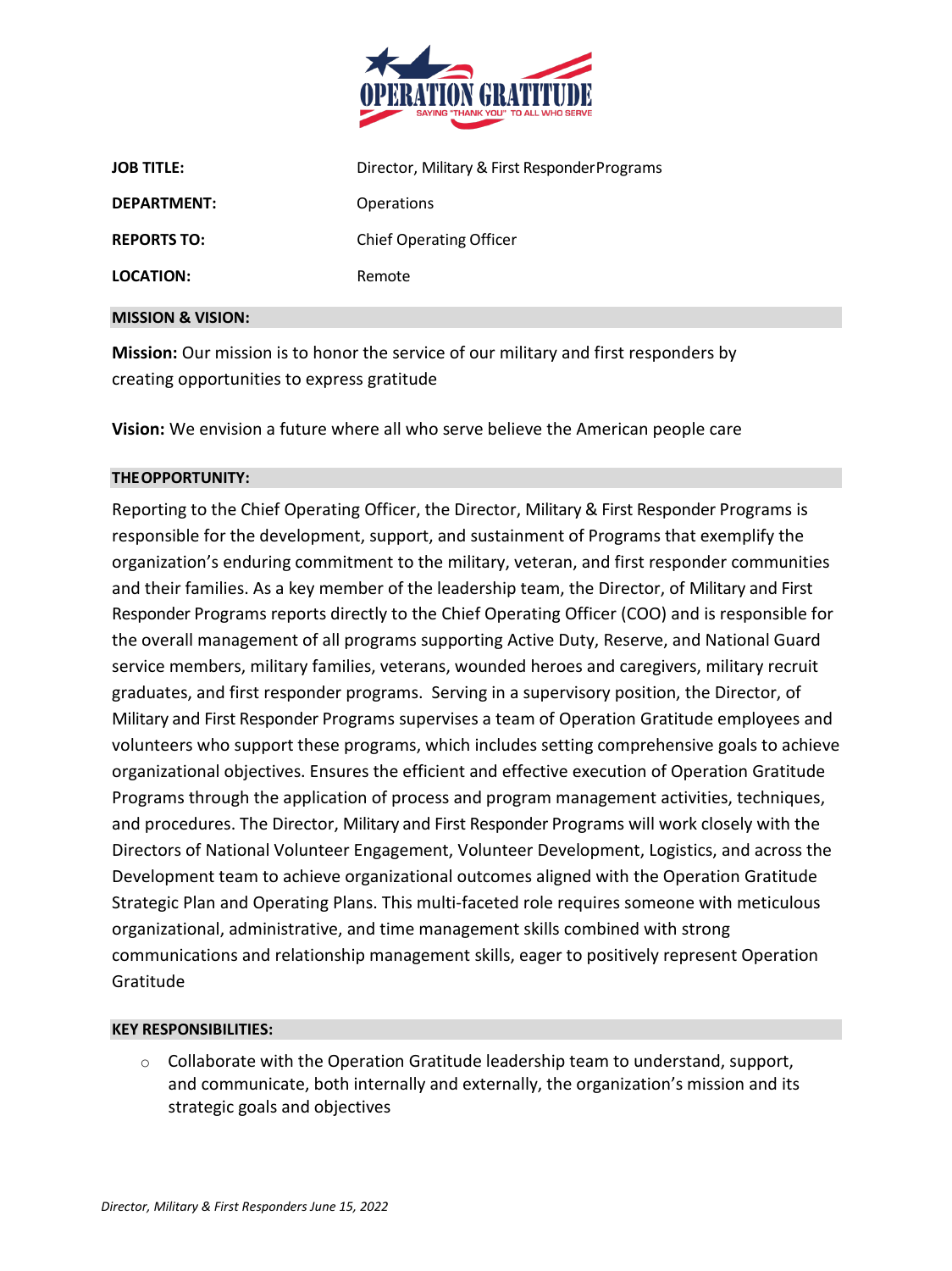

| <b>JOB TITLE:</b>  | Director, Military & First Responder Programs |
|--------------------|-----------------------------------------------|
| DEPARTMENT:        | <b>Operations</b>                             |
| <b>REPORTS TO:</b> | <b>Chief Operating Officer</b>                |
| LOCATION:          | Remote                                        |
|                    |                                               |

#### **MISSION & VISION:**

**Mission:** Our mission is to honor the service of our military and first responders by creating opportunities to express gratitude

**Vision:** We envision a future where all who serve believe the American people care

### **THEOPPORTUNITY:**

Reporting to the Chief Operating Officer, the Director, Military & First Responder Programs is responsible for the development, support, and sustainment of Programs that exemplify the organization's enduring commitment to the military, veteran, and first responder communities and their families. As a key member of the leadership team, the Director, of Military and First Responder Programs reports directly to the Chief Operating Officer (COO) and is responsible for the overall management of all programs supporting Active Duty, Reserve, and National Guard service members, military families, veterans, wounded heroes and caregivers, military recruit graduates, and first responder programs. Serving in a supervisory position, the Director, of Military and First Responder Programs supervises a team of Operation Gratitude employees and volunteers who support these programs, which includes setting comprehensive goals to achieve organizational objectives. Ensures the efficient and effective execution of Operation Gratitude Programs through the application of process and program management activities, techniques, and procedures. The Director, Military and First Responder Programs will work closely with the Directors of National Volunteer Engagement, Volunteer Development, Logistics, and across the Development team to achieve organizational outcomes aligned with the Operation Gratitude Strategic Plan and Operating Plans. This multi-faceted role requires someone with meticulous organizational, administrative, and time management skills combined with strong communications and relationship management skills, eager to positively represent Operation Gratitude

#### **KEY RESPONSIBILITIES:**

 $\circ$  Collaborate with the Operation Gratitude leadership team to understand, support, and communicate, both internally and externally, the organization's mission and its strategic goals and objectives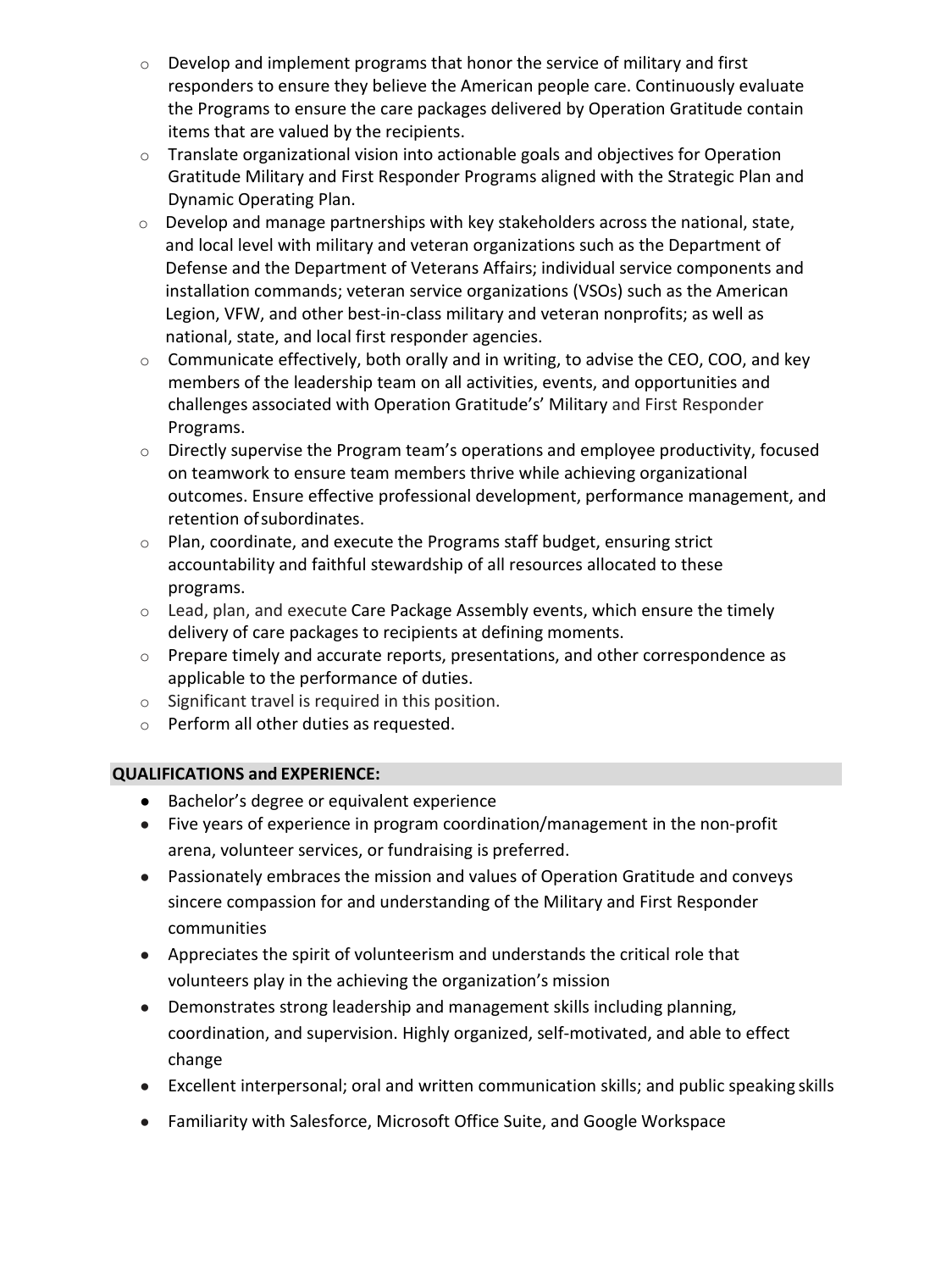- $\circ$  Develop and implement programs that honor the service of military and first responders to ensure they believe the American people care. Continuously evaluate the Programs to ensure the care packages delivered by Operation Gratitude contain items that are valued by the recipients.
- o Translate organizational vision into actionable goals and objectives for Operation Gratitude Military and First Responder Programs aligned with the Strategic Plan and Dynamic Operating Plan.
- o Develop and manage partnerships with key stakeholders across the national, state, and local level with military and veteran organizations such as the Department of Defense and the Department of Veterans Affairs; individual service components and installation commands; veteran service organizations (VSOs) such as the American Legion, VFW, and other best-in-class military and veteran nonprofits; as well as national, state, and local first responder agencies.
- $\circ$  Communicate effectively, both orally and in writing, to advise the CEO, COO, and key members of the leadership team on all activities, events, and opportunities and challenges associated with Operation Gratitude's' Military and First Responder Programs.
- o Directly supervise the Program team's operations and employee productivity, focused on teamwork to ensure team members thrive while achieving organizational outcomes. Ensure effective professional development, performance management, and retention ofsubordinates.
- $\circ$  Plan, coordinate, and execute the Programs staff budget, ensuring strict accountability and faithful stewardship of all resources allocated to these programs.
- o Lead, plan, and execute Care Package Assembly events, which ensure the timely delivery of care packages to recipients at defining moments.
- o Prepare timely and accurate reports, presentations, and other correspondence as applicable to the performance of duties.
- o Significant travel is required in this position.
- o Perform all other duties as requested.

# **QUALIFICATIONS and EXPERIENCE:**

- Bachelor's degree or equivalent experience
- Five years of experience in program coordination/management in the non-profit arena, volunteer services, or fundraising is preferred.
- Passionately embraces the mission and values of Operation Gratitude and conveys sincere compassion for and understanding of the Military and First Responder communities
- Appreciates the spirit of volunteerism and understands the critical role that volunteers play in the achieving the organization's mission
- Demonstrates strong leadership and management skills including planning, coordination, and supervision. Highly organized, self-motivated, and able to effect change
- Excellent interpersonal; oral and written communication skills; and public speaking skills
- Familiarity with Salesforce, Microsoft Office Suite, and Google Workspace